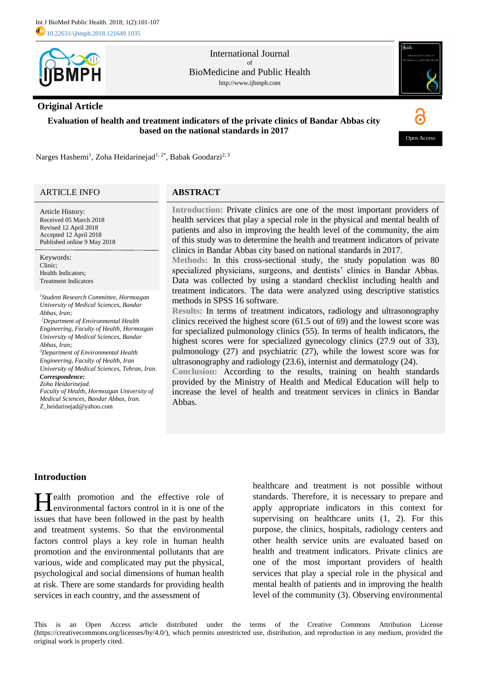

International Journal of BioMedicine and Public Health http://www.ijbmph.com

# **Original Article**

**Evaluation of health and treatment indicators of the private clinics of Bandar Abbas city based on the national standards in 2017**



Narges Hashemi<sup>1</sup>, Zoha Heidarinejad<sup>1, 2\*</sup>, Babak Goodarzi<sup>2, 3</sup>

# ARTICLE INFO

Article History: Received 05 March 2018 Revised 12 April 2018 Accepted 12 April 2018 Published online 9 May 2018

Keywords: Clinic; Health Indicators; Treatment Indicators

*<sup>1</sup>Student Research Committee, Hormozgan University of Medical Sciences, Bandar Abbas, Iran; <sup>2</sup>Department of Environmental Health Engineering, Faculty of Health, Hormozgan University of Medical Sciences, Bandar Abbas, Iran; <sup>3</sup>Department of Environmental Health Engineering, Faculty of Health, Iran University of Medical Sciences, Tehran, Iran. Correspondence: Zoha Heidarinejad. Faculty of Health, Hormozgan University of* 

*Medical Sciences, Bandar Abbas, Iran.* Z\_heidarinejad@yahoo.com

# **ABSTRACT**

**Introduction:** Private clinics are one of the most important providers of health services that play a special role in the physical and mental health of patients and also in improving the health level of the community, the aim of this study was to determine the health and treatment indicators of private clinics in Bandar Abbas city based on national standards in 2017.

**Methods:** In this cross-sectional study, the study population was 80 specialized physicians, surgeons, and dentists' clinics in Bandar Abbas. Data was collected by using a standard checklist including health and treatment indicators. The data were analyzed using descriptive statistics methods in SPSS 16 software.

**Results:** In terms of treatment indicators, radiology and ultrasonography clinics received the highest score (61.5 out of 69) and the lowest score was for specialized pulmonology clinics (55). In terms of health indicators, the highest scores were for specialized gynecology clinics (27.9 out of 33), pulmonology (27) and psychiatric (27), while the lowest score was for ultrasonography and radiology (23.6), internist and dermatology (24).

**Conclusion:** According to the results, training on health standards provided by the Ministry of Health and Medical Education will help to increase the level of health and treatment services in clinics in Bandar Abbas.

# **Introduction**

**H**ealth promotion and the effective role of environmental factors control in it is one of the environmental factors control in it is one of the issues that have been followed in the past by health and treatment systems. So that the environmental factors control plays a key role in human health promotion and the environmental pollutants that are various, wide and complicated may put the physical, psychological and social dimensions of human health at risk. There are some standards for providing health services in each country, and the assessment of

healthcare and treatment is not possible without standards. Therefore, it is necessary to prepare and apply appropriate indicators in this context for supervising on healthcare units (1, 2). For this purpose, the clinics, hospitals, radiology centers and other health service units are evaluated based on health and treatment indicators. Private clinics are one of the most important providers of health services that play a special role in the physical and mental health of patients and in improving the health level of the community (3). Observing environmental

This is an Open Access article distributed under the terms of the Creative Commons Attribution License (https://creativecommons.org/licenses/by/4.0/), which permits unrestricted use, distribution, and reproduction in any medium, provided the original work is properly cited.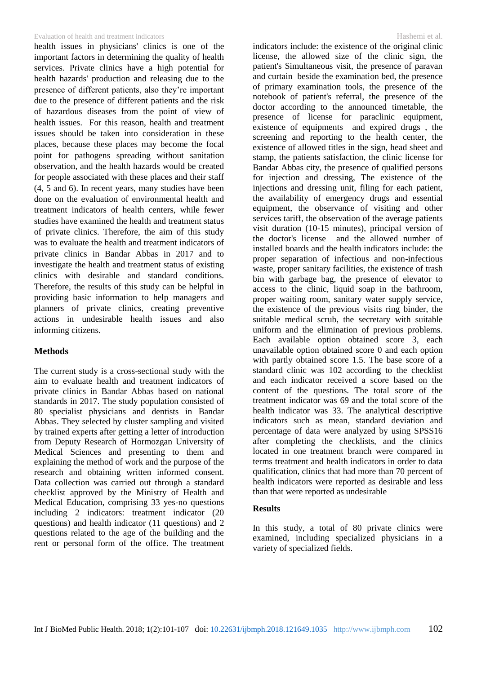### Evaluation of health and treatment indicators Hashemi et al.

health issues in physicians' clinics is one of the important factors in determining the quality of health services. Private clinics have a high potential for health hazards' production and releasing due to the presence of different patients, also they're important due to the presence of different patients and the risk of hazardous diseases from the point of view of health issues. For this reason, health and treatment issues should be taken into consideration in these places, because these places may become the focal point for pathogens spreading without sanitation observation, and the health hazards would be created for people associated with these places and their staff (4, 5 and 6). In recent years, many studies have been done on the evaluation of environmental health and treatment indicators of health centers, while fewer studies have examined the health and treatment status of private clinics. Therefore, the aim of this study was to evaluate the health and treatment indicators of private clinics in Bandar Abbas in 2017 and to investigate the health and treatment status of existing clinics with desirable and standard conditions. Therefore, the results of this study can be helpful in providing basic information to help managers and planners of private clinics, creating preventive actions in undesirable health issues and also informing citizens.

# **Methods**

The current study is a cross-sectional study with the aim to evaluate health and treatment indicators of private clinics in Bandar Abbas based on national standards in 2017. The study population consisted of 80 specialist physicians and dentists in Bandar Abbas. They selected by cluster sampling and visited by trained experts after getting a letter of introduction from Deputy Research of Hormozgan University of Medical Sciences and presenting to them and explaining the method of work and the purpose of the research and obtaining written informed consent. Data collection was carried out through a standard checklist approved by the Ministry of Health and Medical Education, comprising 33 yes-no questions including 2 indicators: treatment indicator (20 questions) and health indicator (11 questions) and 2 questions related to the age of the building and the rent or personal form of the office. The treatment indicators include: the existence of the original clinic license, the allowed size of the clinic sign, the patient's Simultaneous visit, the presence of paravan and curtain beside the examination bed, the presence of primary examination tools, the presence of the notebook of patient's referral, the presence of the doctor according to the announced timetable, the presence of license for paraclinic equipment, existence of equipments and expired drugs , the screening and reporting to the health center, the existence of allowed titles in the sign, head sheet and stamp, the patients satisfaction, the clinic license for Bandar Abbas city, the presence of qualified persons for injection and dressing, The existence of the injections and dressing unit, filing for each patient, the availability of emergency drugs and essential equipment, the observance of visiting and other services tariff, the observation of the average patients visit duration (10-15 minutes), principal version of the doctor's license and the allowed number of installed boards and the health indicators include: the proper separation of infectious and non-infectious waste, proper sanitary facilities, the existence of trash bin with garbage bag, the presence of elevator to access to the clinic, liquid soap in the bathroom, proper waiting room, sanitary water supply service, the existence of the previous visits ring binder, the suitable medical scrub, the secretary with suitable uniform and the elimination of previous problems. Each available option obtained score 3, each unavailable option obtained score 0 and each option with partly obtained score 1.5. The base score of a standard clinic was 102 according to the checklist and each indicator received a score based on the content of the questions. The total score of the treatment indicator was 69 and the total score of the health indicator was 33. The analytical descriptive indicators such as mean, standard deviation and percentage of data were analyzed by using SPSS16 after completing the checklists, and the clinics located in one treatment branch were compared in terms treatment and health indicators in order to data qualification, clinics that had more than 70 percent of health indicators were reported as desirable and less than that were reported as undesirable

## **Results**

In this study, a total of 80 private clinics were examined, including specialized physicians in a variety of specialized fields.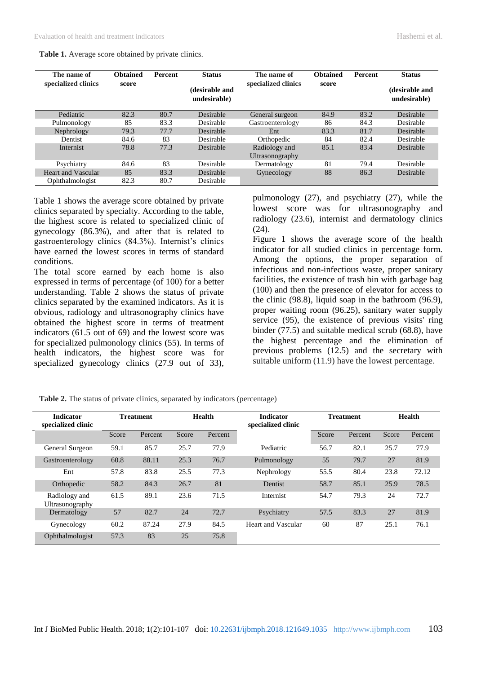| The name of               | <b>Obtained</b> | <b>Percent</b> | <b>Status</b>                  | The name of                      | <b>Obtained</b> | <b>Percent</b> | <b>Status</b>                  |
|---------------------------|-----------------|----------------|--------------------------------|----------------------------------|-----------------|----------------|--------------------------------|
| specialized clinics       | score           |                | (desirable and<br>undesirable) | specialized clinics              | score           |                | (desirable and<br>undesirable) |
| Pediatric                 | 82.3            | 80.7           | Desirable                      | General surgeon                  | 84.9            | 83.2           | Desirable                      |
| Pulmonology               | 85              | 83.3           | Desirable                      | Gastroenterology                 | 86              | 84.3           | Desirable                      |
| Nephrology                | 79.3            | 77.7           | Desirable                      | Ent                              | 83.3            | 81.7           | Desirable                      |
| Dentist                   | 84.6            | 83             | Desirable                      | Orthopedic                       | 84              | 82.4           | Desirable                      |
| Internist                 | 78.8            | 77.3           | Desirable                      | Radiology and<br>Ultrasonography | 85.1            | 83.4           | Desirable                      |
| Psychiatry                | 84.6            | 83             | Desirable                      | Dermatology                      | 81              | 79.4           | Desirable                      |
| <b>Heart and Vascular</b> | 85              | 83.3           | Desirable                      | Gynecology                       | 88              | 86.3           | Desirable                      |
| Ophthalmologist           | 82.3            | 80.7           | Desirable                      |                                  |                 |                |                                |

**Table 1.** Average score obtained by private clinics.

Table 1 shows the average score obtained by private clinics separated by specialty. According to the table, the highest score is related to specialized clinic of gynecology (86.3%), and after that is related to gastroenterology clinics (84.3%). Internist's clinics have earned the lowest scores in terms of standard conditions.

The total score earned by each home is also expressed in terms of percentage (of 100) for a better understanding. Table 2 shows the status of private clinics separated by the examined indicators. As it is obvious, radiology and ultrasonography clinics have obtained the highest score in terms of treatment indicators (61.5 out of 69) and the lowest score was for specialized pulmonology clinics (55). In terms of health indicators, the highest score was for specialized gynecology clinics (27.9 out of 33), pulmonology (27), and psychiatry (27), while the lowest score was for ultrasonography and radiology (23.6), internist and dermatology clinics (24).

Figure 1 shows the average score of the health indicator for all studied clinics in percentage form. Among the options, the proper separation of infectious and non-infectious waste, proper sanitary facilities, the existence of trash bin with garbage bag (100) and then the presence of elevator for access to the clinic (98.8), liquid soap in the bathroom (96.9), proper waiting room (96.25), sanitary water supply service (95), the existence of previous visits' ring binder (77.5) and suitable medical scrub (68.8), have the highest percentage and the elimination of previous problems (12.5) and the secretary with suitable uniform (11.9) have the lowest percentage.

**Table 2.** The status of private clinics, separated by indicators (percentage)

| <b>Indicator</b><br>specialized clinic | <b>Treatment</b> |         | Health |         | <b>Indicator</b><br>specialized clinic | <b>Treatment</b> |         | <b>Health</b> |         |
|----------------------------------------|------------------|---------|--------|---------|----------------------------------------|------------------|---------|---------------|---------|
|                                        | Score            | Percent | Score  | Percent |                                        | Score            | Percent | Score         | Percent |
| General Surgeon                        | 59.1             | 85.7    | 25.7   | 77.9    | Pediatric                              | 56.7             | 82.1    | 25.7          | 77.9    |
| Gastroenterology                       | 60.8             | 88.11   | 25.3   | 76.7    | Pulmonology                            | 55               | 79.7    | 27            | 81.9    |
| Ent                                    | 57.8             | 83.8    | 25.5   | 77.3    | Nephrology                             | 55.5             | 80.4    | 23.8          | 72.12   |
| Orthopedic                             | 58.2             | 84.3    | 26.7   | 81      | Dentist                                | 58.7             | 85.1    | 25.9          | 78.5    |
| Radiology and<br>Ultrasonography       | 61.5             | 89.1    | 23.6   | 71.5    | Internist                              | 54.7             | 79.3    | 24            | 72.7    |
| Dermatology                            | 57               | 82.7    | 24     | 72.7    | Psychiatry                             | 57.5             | 83.3    | 27            | 81.9    |
| Gynecology                             | 60.2             | 87.24   | 27.9   | 84.5    | Heart and Vascular                     | 60               | 87      | 25.1          | 76.1    |
| Ophthalmologist                        | 57.3             | 83      | 25     | 75.8    |                                        |                  |         |               |         |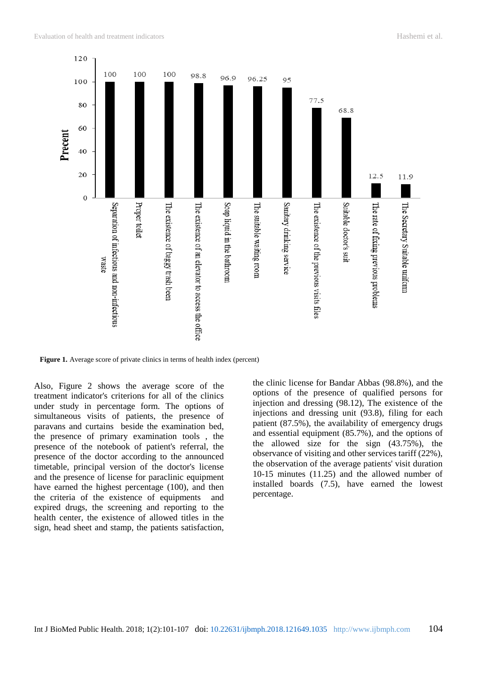

**Figure 1.** Average score of private clinics in terms of health index (percent)

Also, Figure 2 shows the average score of the treatment indicator's criterions for all of the clinics under study in percentage form. The options of simultaneous visits of patients, the presence of paravans and curtains beside the examination bed, the presence of primary examination tools , the presence of the notebook of patient's referral, the presence of the doctor according to the announced timetable, principal version of the doctor's license and the presence of license for paraclinic equipment have earned the highest percentage (100), and then the criteria of the existence of equipments and expired drugs, the screening and reporting to the health center, the existence of allowed titles in the sign, head sheet and stamp, the patients satisfaction,

the clinic license for Bandar Abbas (98.8%), and the options of the presence of qualified persons for injection and dressing (98.12), The existence of the injections and dressing unit (93.8), filing for each patient (87.5%), the availability of emergency drugs and essential equipment (85.7%), and the options of the allowed size for the sign (43.75%), the observance of visiting and other services tariff (22%), the observation of the average patients' visit duration 10-15 minutes (11.25) and the allowed number of installed boards (7.5), have earned the lowest percentage.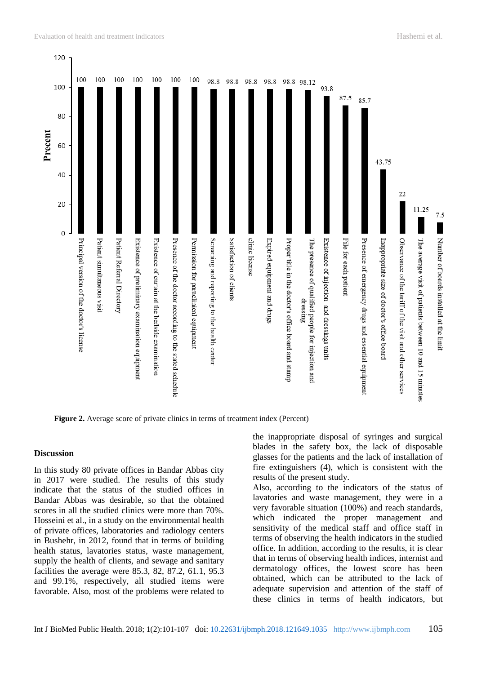

**Figure 2.** Average score of private clinics in terms of treatment index (Percent)

## **Discussion**

In this study 80 private offices in Bandar Abbas city in 2017 were studied. The results of this study indicate that the status of the studied offices in Bandar Abbas was desirable, so that the obtained scores in all the studied clinics were more than 70%. Hosseini et al., in a study on the environmental health of private offices, laboratories and radiology centers in Bushehr, in 2012, found that in terms of building health status, lavatories status, waste management, supply the health of clients, and sewage and sanitary facilities the average were 85.3, 82, 87.2, 61.1, 95.3 and 99.1%, respectively, all studied items were favorable. Also, most of the problems were related to

the inappropriate disposal of syringes and surgical blades in the safety box, the lack of disposable glasses for the patients and the lack of installation of fire extinguishers (4), which is consistent with the results of the present study.

Also, according to the indicators of the status of lavatories and waste management, they were in a very favorable situation (100%) and reach standards, which indicated the proper management and sensitivity of the medical staff and office staff in terms of observing the health indicators in the studied office. In addition, according to the results, it is clear that in terms of observing health indices, internist and dermatology offices, the lowest score has been obtained, which can be attributed to the lack of adequate supervision and attention of the staff of these clinics in terms of health indicators, but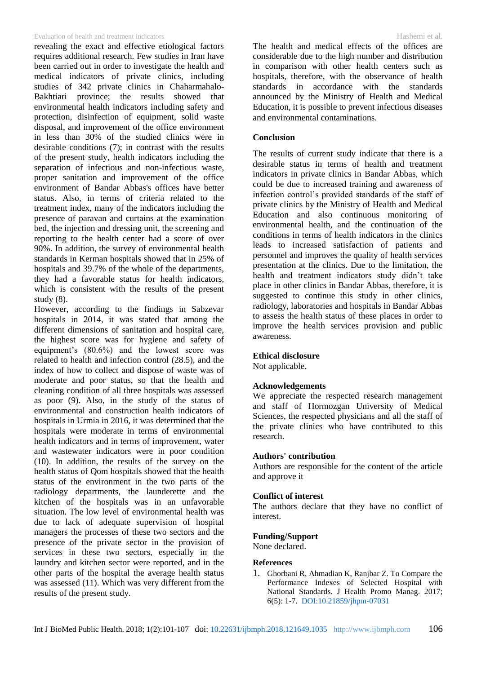#### Evaluation of health and treatment indicators Hashemi et al.

revealing the exact and effective etiological factors requires additional research. Few studies in Iran have been carried out in order to investigate the health and medical indicators of private clinics, including studies of 342 private clinics in Chaharmahalo-Bakhtiari province; the results showed that environmental health indicators including safety and protection, disinfection of equipment, solid waste disposal, and improvement of the office environment in less than 30% of the studied clinics were in desirable conditions (7); in contrast with the results of the present study, health indicators including the separation of infectious and non-infectious waste, proper sanitation and improvement of the office environment of Bandar Abbas's offices have better status. Also, in terms of criteria related to the treatment index, many of the indicators including the presence of paravan and curtains at the examination bed, the injection and dressing unit, the screening and reporting to the health center had a score of over 90%. In addition, the survey of environmental health standards in Kerman hospitals showed that in 25% of hospitals and 39.7% of the whole of the departments, they had a favorable status for health indicators, which is consistent with the results of the present study (8).

However, according to the findings in Sabzevar hospitals in 2014, it was stated that among the different dimensions of sanitation and hospital care, the highest score was for hygiene and safety of equipment's (80.6%) and the lowest score was related to health and infection control (28.5), and the index of how to collect and dispose of waste was of moderate and poor status, so that the health and cleaning condition of all three hospitals was assessed as poor (9). Also, in the study of the status of environmental and construction health indicators of hospitals in Urmia in 2016, it was determined that the hospitals were moderate in terms of environmental health indicators and in terms of improvement, water and wastewater indicators were in poor condition (10). In addition, the results of the survey on the health status of Qom hospitals showed that the health status of the environment in the two parts of the radiology departments, the launderette and the kitchen of the hospitals was in an unfavorable situation. The low level of environmental health was due to lack of adequate supervision of hospital managers the processes of these two sectors and the presence of the private sector in the provision of services in these two sectors, especially in the laundry and kitchen sector were reported, and in the other parts of the hospital the average health status was assessed (11). Which was very different from the results of the present study.

The health and medical effects of the offices are considerable due to the high number and distribution in comparison with other health centers such as hospitals, therefore, with the observance of health standards in accordance with the standards announced by the [Ministry of Health and Medical](http://irandataportal.syr.edu/ministry-of-health-and-medical-education)  [Education](http://irandataportal.syr.edu/ministry-of-health-and-medical-education), it is possible to prevent infectious diseases and environmental contaminations.

## **Conclusion**

The results of current study indicate that there is a desirable status in terms of health and treatment indicators in private clinics in Bandar Abbas, which could be due to increased training and awareness of infection control's provided standards of the staff of private clinics by the [Ministry of Health and Medical](http://irandataportal.syr.edu/ministry-of-health-and-medical-education)  [Education](http://irandataportal.syr.edu/ministry-of-health-and-medical-education) and also continuous monitoring of environmental health, and the continuation of the conditions in terms of health indicators in the clinics leads to increased satisfaction of patients and personnel and improves the quality of health services presentation at the clinics. Due to the limitation, the health and treatment indicators study didn't take place in other clinics in Bandar Abbas, therefore, it is suggested to continue this study in other clinics, radiology, laboratories and hospitals in Bandar Abbas to assess the health status of these places in order to improve the health services provision and public awareness.

### **Ethical disclosure**

Not applicable.

### **Acknowledgements**

We appreciate the respected research management and staff of Hormozgan University of Medical Sciences, the respected physicians and all the staff of the private clinics who have contributed to this research.

### **Authors' contribution**

Authors are responsible for the content of the article and approve it

### **Conflict of interest**

The authors declare that they have no conflict of interest.

### **Funding/Support**

None declared.

## **References**

1. Ghorbani R, Ahmadian K, Ranjbar Z. To Compare the Performance Indexes of Selected Hospital with National Standards. J Health Promo Manag. 2017; 6(5): 1-7. [DOI:10.21859/jhpm-07031](http://jhpm.ir/article-1-728-en.html)